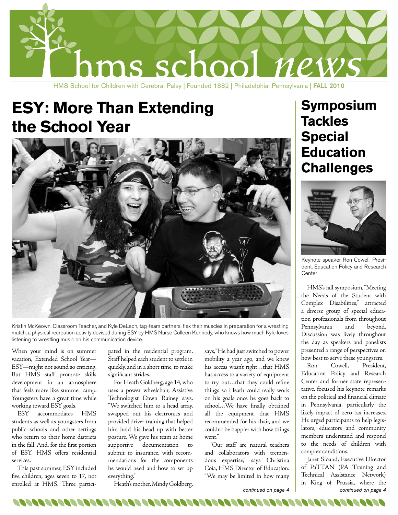

HMS School for Children with Cerebral Palsy | Founded 1882 | Philadelphia, Pennsylvania | FALL 2010

# **ESY: More Than Extending the School Year**



Kristin McKeown, Classroom Teacher, and Kyle DeLeon, tag-team partners, flex their muscles in preparation for a wrestling match, a physical recreation activity devised during ESY by HMS Nurse Colleen Kennedy, who knows how much Kyle loves listening to wrestling music on his communication device.

When your mind is on summer vacation, Extended School Year— ESY—might not sound so enticing. But HMS staff promote skills development in an atmosphere that feels more like summer camp. Youngsters have a great time while working toward ESY goals.

ESY accommodates HMS students as well as youngsters from public schools and other settings who return to their home districts in the fall. And, for the first portion of ESY, HMS offers residential services.

This past summer, ESY included five children, ages seven to 17, not enrolled at HMS. Three partici-

pated in the residential program. Staff helped each student to settle in quickly, and in a short time, to make significant strides.

For Heath Goldberg, age 14, who uses a power wheelchair, Assistive Technologist Dawn Rainey says, "We switched him to a head array, swapped out his electronics and provided driver training that helped him hold his head up with better posture. We gave his team at home supportive documentation submit to insurance, with recommendations for the components he would need and how to set up everything."

Heath's mother, Mindy Goldberg,

says, "He had just switched to power mobility a year ago, and we knew his access wasn't right…that HMS has access to a variety of equipment to try out…that they could refine things so Heath could really work on his goals once he goes back to school…We have finally obtained all the equipment that HMS recommended for his chair, and we couldn't be happier with how things went."

"Our staff are natural teachers and collaborators with tremendous expertise," says Christina Coia, HMS Director of Education. "We may be limited in how many

## **Symposium Tackles Special Education Challenges**



Keynote speaker Ron Cowell, President, Education Policy and Research Center

HMS's fall symposium, "Meeting the Needs of the Student with Complex Disabilities," attracted a diverse group of special education professionals from throughout Pennsylvania and beyond. Discussion was lively throughout the day as speakers and panelists presented a range of perspectives on how best to serve these youngsters.

Ron Cowell, President, Education Policy and Research Center and former state representative, focused his keynote remarks on the political and financial climate in Pennsylvania, particularly the likely impact of zero tax increases. He urged participants to help legislators, educators and community members understand and respond to the needs of children with complex conditions.

Janet Sloand, Executive Director of PaTTAN (PA Training and Technical Assistance Network) in King of Prussia, where the *continued on page 4 continued on page 4*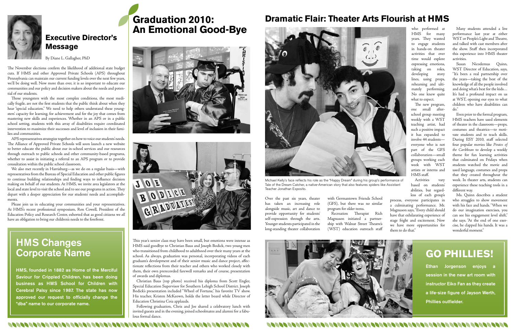Over the past six years, theater has taken an increasing role alongside music, art and dance to provide opportunity for students' self-expression through the arts. Younger students participated in the long-standing theater collaboration

with Germantown Friends School (GFS), but there was no similar program for older teens.

Recreation Therapist Rich Magnuson initiated a partnership with Walnut Street Theatre's (WST) education outreach staff



who performed at HMS for many years. They wanted to engage students in hands-on theater activities that over time would explore expressing emotions, taking on roles, developing story lines, using props, rehearsing and ultimately performing. No one knew quite what to expect.

The new program, one small afterschool group meeting weekly with a WST teaching artist, had such a positive impact it has expanded to involve 44 students everyone who is not part of the GFS collaboration—small groups working each week with WST artists or interns and HMS staff.

Activities vary based on students' abilities, but regardless of each group's

process, everyone participates in a culminating performance. Mr. Magnuson says, "Every child should have that exhilarating experience of stage fright and excitement. Now we have more opportunities for them to do that."

Many students attended a live performance last year at either WST or People's Light and Theatre, and talked with cast members after the show. Staff then incorporated this experience into HMS theater activities.

Susan Nicodemus Quinn, WST Director of Education, says, "It's been a real partnership over the years—taking the best of the knowledge of all the people involved and doing what's best for the kids… It's had a profound impact on us at WST, opening our eyes to what children who have disabilities can do."

Even prior to the formal program, HMS teachers have used elements of theater in the classroom—props, costumes and theatrics—to motivate students and to teach skills. During ESY 2010, staff selected four popular movies like *Pirates of the Caribbean* to develop a weekly theme for fun learning activities that culminated on Fridays when students watched the movie and used language, costumes and props that they created throughout the week. In theater arts, students can experience these teaching tools in a different way.

Ms. Quinn describes a student who struggles to show movement with his face and hands. "When we do our imagination exercises, you can see his engagement level shift," she says. "At the end of one exercise, he clapped his hands. It was a wonderful moment."



### **Executive Director's Message**

By Diane L. Gallagher, PhD

The November elections confirm the likelihood of additional state budget cuts. If HMS and other Approved Private Schools (APS) throughout Pennsylvania can maintain our current funding levels over the next few years, we'll be doing well. Now more than ever, it is so important to educate our communities and our policy and decision makers about the needs and potential of our students.

Those youngsters with the most complex conditions, the most medically fragile, are not the first students that the public think about when they hear "special education." We need to help others understand these youngsters' capacity for learning, for achievement and for the joy that comes from mastering new skills and experiences. Whether in an APS or in a public school setting, students with this array of disabilities require coordinated intervention to maximize their successes and level of inclusion in their families and communities.

APS representatives strategize together on how to voice our students' needs. The Alliance of Approved Private Schools will soon launch a new website to better educate the public about our in-school services and our resources through outreach to public schools and other community-based programs, whether to assist in initiating a referral to an APS program or to provide consultation within the public school classroom.

We also met recently in Harrisburg—as we do on a regular basis—with representatives from the Bureau of Special Education and other public figures to continue building relationships and finding ways to influence decision making on behalf of our students. At HMS, we invite area legislators at the local and state level to visit the school and to see our programs in action. They depart with a deeper appreciation for our students' needs and accomplishments.

Please join us in educating your communities and your representatives. At HMS's recent professional symposium, Ron Cowell, President of the Education Policy and Research Center, exhorted that as good citizens we *all* have an obligation to bring our children's needs to the forefront.

# **Graduation 2010: An Emotional Good-Bye**





This year's senior class may have been small, but emotions were intense as HMS said goodbye to Christian Baus and Joseph Bodick, two young men who transitioned from childhood to adulthood over their many years at the school. As always, graduation was personal, incorporating videos of each graduate's development and of their senior music and dance project, affectionate reflections from their teacher and others who worked closely with them, their own prerecorded farewell remarks and of course, presentation of awards and diplomas.

Christian Baus (top photo) received his diploma from Scott Engler, Special Education Supervisor for Southern Lehigh School District. Joseph Bodick's presentation included "Wheel of Fortune," his favorite TV show. His teacher, Kristen McKeown, holds the letter board while Director of Education Christina Coia applauds.

Following graduation, Chris and Joe shared a celebratory lunch with invited guests and in the evening, joined schoolmates and alumni for a fabulous formal dance.

## HMS Changes Corporate Name

HMS, founded in 1882 as Home of the Merciful Saviour for Crippled Children, has been doing business as HMS School for Children with Cerebral Palsy since 1987. The state has now approved our request to officially change the "dba" name to our corporate name.

## **Dramatic Flair: Theater Arts Flourish at HMS**



Michael Kelly's face reflects his role as the "Happy Dream" during his group's performance of Tale of the Dream Catcher, a native-American story that also features spiders like Assistant Teacher Jonathan Esposito.

# **GO PHILLIES!**

Ethan Jorgenson enjoys a session in the new art room with instructor Eiko Fan as they create a life-size figure of Jayson Werth, Phillies outfielder.